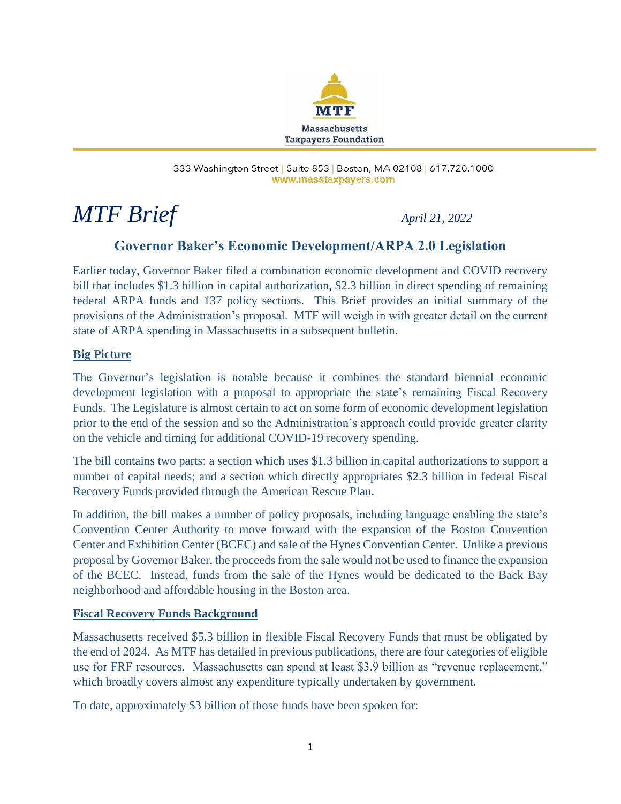

#### 333 Washington Street | Suite 853 | Boston, MA 02108 | 617.720.1000 www.masstaxpayers.com

# *MTF Brief April 21, 2022*

## **Governor Baker's Economic Development/ARPA 2.0 Legislation**

Earlier today, Governor Baker filed a combination economic development and COVID recovery bill that includes \$1.3 billion in capital authorization, \$2.3 billion in direct spending of remaining federal ARPA funds and 137 policy sections. This Brief provides an initial summary of the provisions of the Administration's proposal. MTF will weigh in with greater detail on the current state of ARPA spending in Massachusetts in a subsequent bulletin.

#### **Big Picture**

The Governor's legislation is notable because it combines the standard biennial economic development legislation with a proposal to appropriate the state's remaining Fiscal Recovery Funds. The Legislature is almost certain to act on some form of economic development legislation prior to the end of the session and so the Administration's approach could provide greater clarity on the vehicle and timing for additional COVID-19 recovery spending.

The bill contains two parts: a section which uses \$1.3 billion in capital authorizations to support a number of capital needs; and a section which directly appropriates \$2.3 billion in federal Fiscal Recovery Funds provided through the American Rescue Plan.

In addition, the bill makes a number of policy proposals, including language enabling the state's Convention Center Authority to move forward with the expansion of the Boston Convention Center and Exhibition Center (BCEC) and sale of the Hynes Convention Center. Unlike a previous proposal by Governor Baker, the proceeds from the sale would not be used to finance the expansion of the BCEC. Instead, funds from the sale of the Hynes would be dedicated to the Back Bay neighborhood and affordable housing in the Boston area.

#### **Fiscal Recovery Funds Background**

Massachusetts received \$5.3 billion in flexible Fiscal Recovery Funds that must be obligated by the end of 2024. As MTF has detailed in previous publications, there are four categories of eligible use for FRF resources. Massachusetts can spend at least \$3.9 billion as "revenue replacement," which broadly covers almost any expenditure typically undertaken by government.

To date, approximately \$3 billion of those funds have been spoken for: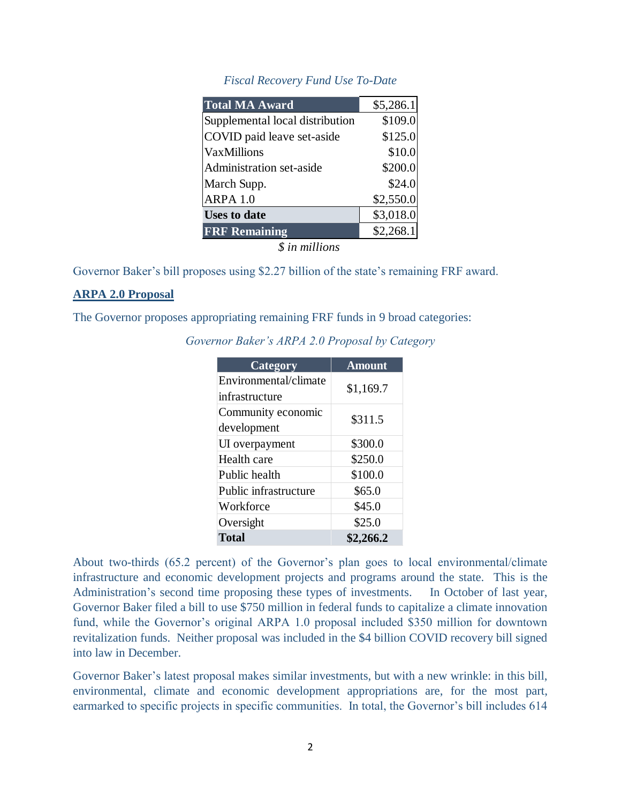#### *Fiscal Recovery Fund Use To-Date*

| <b>Total MA Award</b>           | \$5,286.1 |
|---------------------------------|-----------|
| Supplemental local distribution | \$109.0   |
| COVID paid leave set-aside      | \$125.0   |
| <b>VaxMillions</b>              | \$10.0    |
| Administration set-aside        | \$200.0   |
| March Supp.                     | \$24.0    |
| ARPA 1.0                        | \$2,550.0 |
| <b>Uses to date</b>             | \$3,018.0 |
| <b>FRF Remaining</b>            | \$2,268.1 |

*\$ in millions*

Governor Baker's bill proposes using \$2.27 billion of the state's remaining FRF award.

#### **ARPA 2.0 Proposal**

The Governor proposes appropriating remaining FRF funds in 9 broad categories:

| Category              | <b>Amount</b> |
|-----------------------|---------------|
| Environmental/climate | \$1,169.7     |
| infrastructure        |               |
| Community economic    | \$311.5       |
| development           |               |
| UI overpayment        | \$300.0       |
| Health care           | \$250.0       |
| Public health         | \$100.0       |
| Public infrastructure | \$65.0        |
| Workforce             | \$45.0        |
| Oversight             | \$25.0        |
| <b>Total</b>          | \$2,266.2     |

*Governor Baker's ARPA 2.0 Proposal by Category*

About two-thirds (65.2 percent) of the Governor's plan goes to local environmental/climate infrastructure and economic development projects and programs around the state. This is the Administration's second time proposing these types of investments. In October of last year, Governor Baker filed a bill to use \$750 million in federal funds to capitalize a climate innovation fund, while the Governor's original ARPA 1.0 proposal included \$350 million for downtown revitalization funds. Neither proposal was included in the \$4 billion COVID recovery bill signed into law in December.

Governor Baker's latest proposal makes similar investments, but with a new wrinkle: in this bill, environmental, climate and economic development appropriations are, for the most part, earmarked to specific projects in specific communities. In total, the Governor's bill includes 614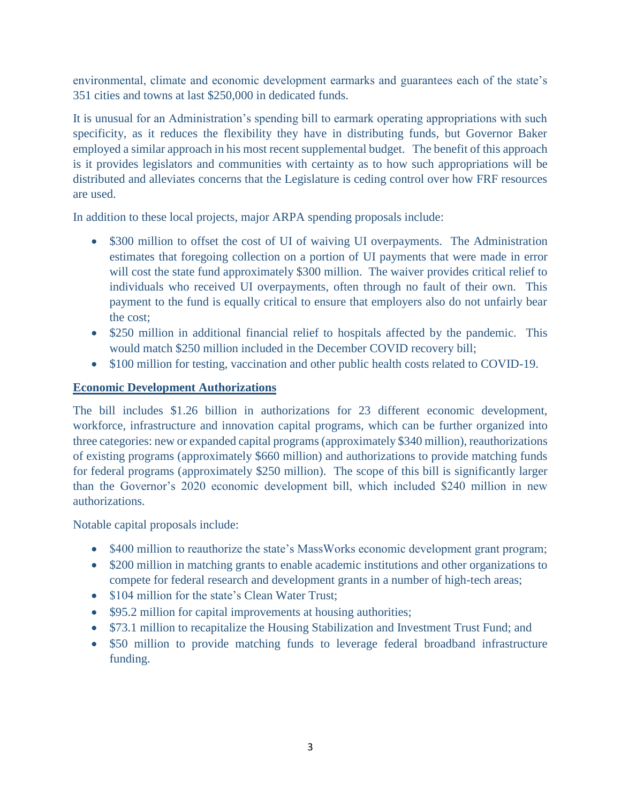environmental, climate and economic development earmarks and guarantees each of the state's 351 cities and towns at last \$250,000 in dedicated funds.

It is unusual for an Administration's spending bill to earmark operating appropriations with such specificity, as it reduces the flexibility they have in distributing funds, but Governor Baker employed a similar approach in his most recent supplemental budget. The benefit of this approach is it provides legislators and communities with certainty as to how such appropriations will be distributed and alleviates concerns that the Legislature is ceding control over how FRF resources are used.

In addition to these local projects, major ARPA spending proposals include:

- \$300 million to offset the cost of UI of waiving UI overpayments. The Administration estimates that foregoing collection on a portion of UI payments that were made in error will cost the state fund approximately \$300 million. The waiver provides critical relief to individuals who received UI overpayments, often through no fault of their own. This payment to the fund is equally critical to ensure that employers also do not unfairly bear the cost;
- \$250 million in additional financial relief to hospitals affected by the pandemic. This would match \$250 million included in the December COVID recovery bill;
- \$100 million for testing, vaccination and other public health costs related to COVID-19.

### **Economic Development Authorizations**

The bill includes \$1.26 billion in authorizations for 23 different economic development, workforce, infrastructure and innovation capital programs, which can be further organized into three categories: new or expanded capital programs (approximately \$340 million), reauthorizations of existing programs (approximately \$660 million) and authorizations to provide matching funds for federal programs (approximately \$250 million). The scope of this bill is significantly larger than the Governor's 2020 economic development bill, which included \$240 million in new authorizations.

Notable capital proposals include:

- \$400 million to reauthorize the state's MassWorks economic development grant program;
- \$200 million in matching grants to enable academic institutions and other organizations to compete for federal research and development grants in a number of high-tech areas;
- \$104 million for the state's Clean Water Trust;
- \$95.2 million for capital improvements at housing authorities;
- \$73.1 million to recapitalize the Housing Stabilization and Investment Trust Fund; and
- \$50 million to provide matching funds to leverage federal broadband infrastructure funding.